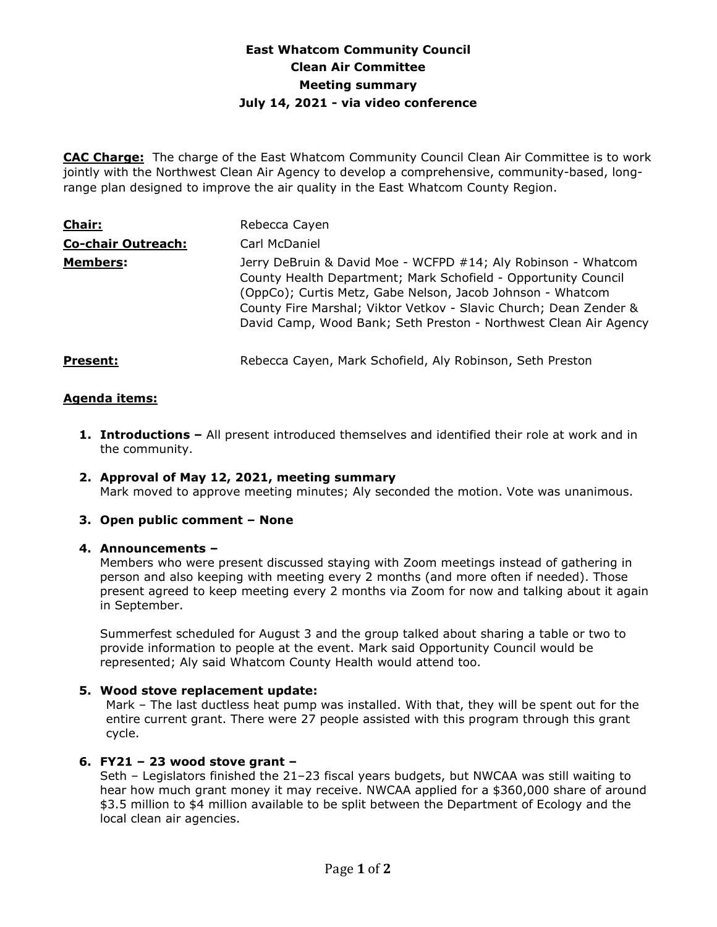# **East Whatcom Community Council Clean Air Committee Meeting summary July 14, 2021 - via video conference**

**CAC Charge:** The charge of the East Whatcom Community Council Clean Air Committee is to work jointly with the Northwest Clean Air Agency to develop a comprehensive, community-based, longrange plan designed to improve the air quality in the East Whatcom County Region.

| Chair:                    | Rebecca Cayen                                                                                                                                                                                                                                                                                                                          |
|---------------------------|----------------------------------------------------------------------------------------------------------------------------------------------------------------------------------------------------------------------------------------------------------------------------------------------------------------------------------------|
| <b>Co-chair Outreach:</b> | Carl McDaniel                                                                                                                                                                                                                                                                                                                          |
| <b>Members:</b>           | Jerry DeBruin & David Moe - WCFPD #14; Aly Robinson - Whatcom<br>County Health Department; Mark Schofield - Opportunity Council<br>(OppCo); Curtis Metz, Gabe Nelson, Jacob Johnson - Whatcom<br>County Fire Marshal; Viktor Vetkov - Slavic Church; Dean Zender &<br>David Camp, Wood Bank; Seth Preston - Northwest Clean Air Agency |
| <b>Present:</b>           | Rebecca Cayen, Mark Schofield, Aly Robinson, Seth Preston                                                                                                                                                                                                                                                                              |

### **Agenda items:**

- **1. Introductions –** All present introduced themselves and identified their role at work and in the community.
- **2. Approval of May 12, 2021, meeting summary**  Mark moved to approve meeting minutes; Aly seconded the motion. Vote was unanimous.

#### **3. Open public comment – None**

#### **4. Announcements –**

Members who were present discussed staying with Zoom meetings instead of gathering in person and also keeping with meeting every 2 months (and more often if needed). Those present agreed to keep meeting every 2 months via Zoom for now and talking about it again in September.

Summerfest scheduled for August 3 and the group talked about sharing a table or two to provide information to people at the event. Mark said Opportunity Council would be represented; Aly said Whatcom County Health would attend too.

#### **5. Wood stove replacement update:**

Mark – The last ductless heat pump was installed. With that, they will be spent out for the entire current grant. There were 27 people assisted with this program through this grant cycle.

## **6. FY21 – 23 wood stove grant –**

Seth – Legislators finished the 21–23 fiscal years budgets, but NWCAA was still waiting to hear how much grant money it may receive. NWCAA applied for a \$360,000 share of around \$3.5 million to \$4 million available to be split between the Department of Ecology and the local clean air agencies.